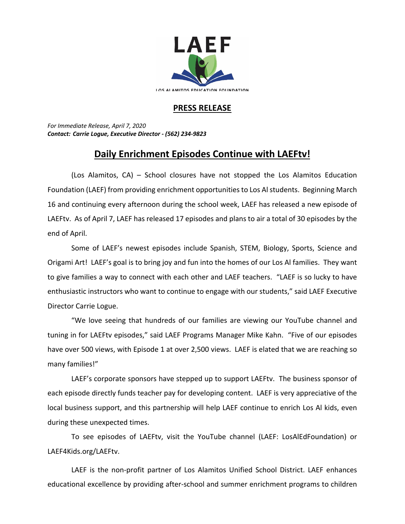

## **PRESS RELEASE**

*For Immediate Release, April 7, 2020 Contact: Carrie Logue, Executive Director - (562) 234-9823*

## **Daily Enrichment Episodes Continue with LAEFtv!**

(Los Alamitos, CA) – School closures have not stopped the Los Alamitos Education Foundation (LAEF) from providing enrichment opportunities to Los Al students. Beginning March 16 and continuing every afternoon during the school week, LAEF has released a new episode of LAEFtv. As of April 7, LAEF has released 17 episodes and plans to air a total of 30 episodes by the end of April.

Some of LAEF's newest episodes include Spanish, STEM, Biology, Sports, Science and Origami Art! LAEF's goal is to bring joy and fun into the homes of our Los Al families. They want to give families a way to connect with each other and LAEF teachers. "LAEF is so lucky to have enthusiastic instructors who want to continue to engage with our students," said LAEF Executive Director Carrie Logue.

"We love seeing that hundreds of our families are viewing our YouTube channel and tuning in for LAEFtv episodes," said LAEF Programs Manager Mike Kahn. "Five of our episodes have over 500 views, with Episode 1 at over 2,500 views. LAEF is elated that we are reaching so many families!"

LAEF's corporate sponsors have stepped up to support LAEFtv. The business sponsor of each episode directly funds teacher pay for developing content. LAEF is very appreciative of the local business support, and this partnership will help LAEF continue to enrich Los Al kids, even during these unexpected times.

To see episodes of LAEFtv, visit the YouTube channel (LAEF: LosAlEdFoundation) or LAEF4Kids.org/LAEFtv.

LAEF is the non-profit partner of Los Alamitos Unified School District. LAEF enhances educational excellence by providing after-school and summer enrichment programs to children